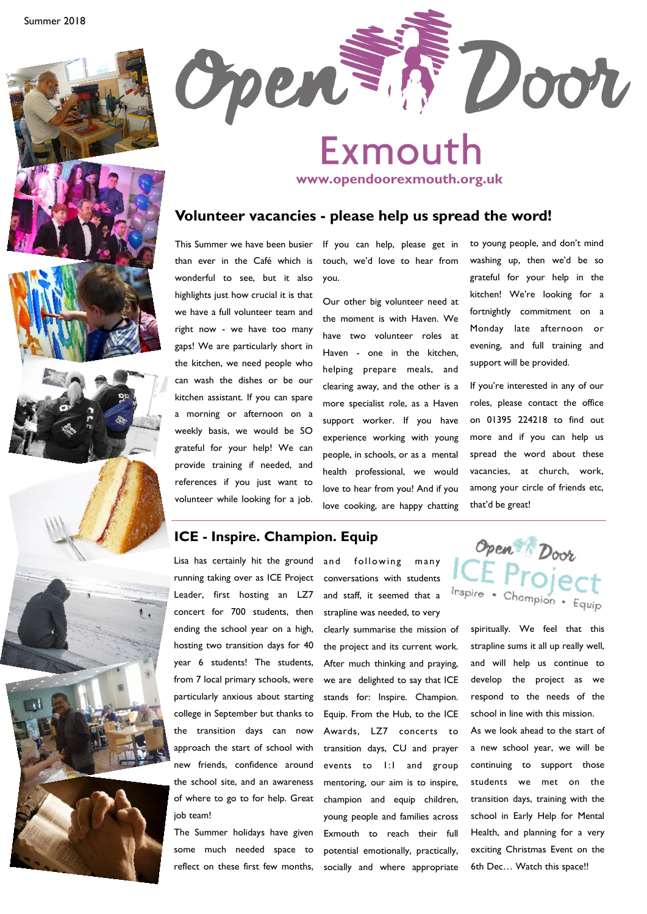



# Exmouth

**www.opendoorexmouth.org.uk**

#### **Volunteer vacancies - please help us spread the word!**

This Summer we have been busier than ever in the Café which is wonderful to see, but it also highlights just how crucial it is that we have a full volunteer team and right now - we have too many gaps! We are particularly short in the kitchen, we need people who can wash the dishes or be our kitchen assistant. If you can spare a morning or afternoon on a weekly basis, we would be SO grateful for your help! We can provide training if needed, and references if you just want to volunteer while looking for a job.

If you can help, please get in touch, we'd love to hear from you.

Our other big volunteer need at the moment is with Haven. We have two volunteer roles at Haven - one in the kitchen, helping prepare meals, and clearing away, and the other is a more specialist role, as a Haven support worker. If you have experience working with young people, in schools, or as a mental health professional, we would love to hear from you! And if you love cooking, are happy chatting

to young people, and don't mind washing up, then we'd be so grateful for your help in the kitchen! We're looking for a fortnightly commitment on a Monday late afternoon or evening, and full training and support will be provided.

If you're interested in any of our roles, please contact the office on 01395 224218 to find out more and if you can help us spread the word about these vacancies, at church, work, among your circle of friends etc, that'd be great!

## **ICE - Inspire. Champion. Equip**

Lisa has certainly hit the ground running taking over as ICE Project Leader, first hosting an LZ7 concert for 700 students, then ending the school year on a high, hosting two transition days for 40 year 6 students! The students, from 7 local primary schools, were particularly anxious about starting college in September but thanks to the transition days can now approach the start of school with new friends, confidence around the school site, and an awareness of where to go to for help. Great job team!

The Summer holidays have given some much needed space to reflect on these first few months,

and following many conversations with students and staff, it seemed that a strapline was needed, to very clearly summarise the mission of the project and its current work. After much thinking and praying, we are delighted to say that ICE stands for: Inspire. Champion. Equip. From the Hub, to the ICE Awards, LZ7 concerts to transition days, CU and prayer events to 1:1 and group mentoring, our aim is to inspire, champion and equip children, young people and families across Exmouth to reach their full potential emotionally, practically, socially and where appropriate



spiritually. We feel that this strapline sums it all up really well, and will help us continue to develop the project as we respond to the needs of the school in line with this mission.

As we look ahead to the start of a new school year, we will be continuing to support those students we met on the transition days, training with the school in Early Help for Mental Health, and planning for a very exciting Christmas Event on the 6th Dec… Watch this space!!